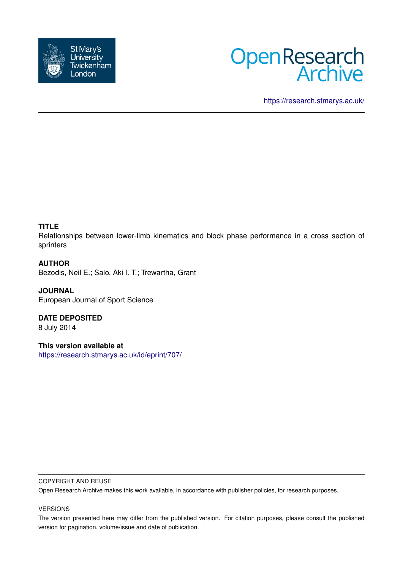



<https://research.stmarys.ac.uk/>

# **TITLE**

Relationships between lower-limb kinematics and block phase performance in a cross section of sprinters

### **AUTHOR**

Bezodis, Neil E.; Salo, Aki I. T.; Trewartha, Grant

**JOURNAL** European Journal of Sport Science

**DATE DEPOSITED** 8 July 2014

**This version available at** <https://research.stmarys.ac.uk/id/eprint/707/>

#### COPYRIGHT AND REUSE

Open Research Archive makes this work available, in accordance with publisher policies, for research purposes.

### VERSIONS

The version presented here may differ from the published version. For citation purposes, please consult the published version for pagination, volume/issue and date of publication.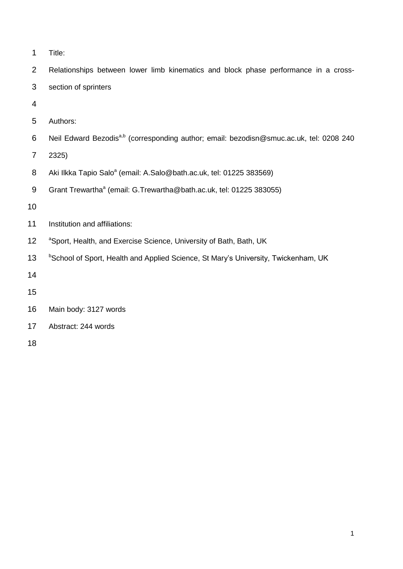Title:

Relationships between lower limb kinematics and block phase performance in a cross-

- section of sprinters
- 
- Authors:
- 6 Neil Edward Bezodis<sup>a,b</sup> (corresponding author; email: bezodisn@smuc.ac.uk, tel: 0208 240
- 2325)
- 8 Aki Ilkka Tapio Salo<sup>a</sup> (email: A.Salo@bath.ac.uk, tel: 01225 383569)
- 9 Grant Trewartha<sup>a</sup> (email: G.Trewartha@bath.ac.uk, tel: 01225 383055)
- 

- 12 <sup>a</sup> Sport, Health, and Exercise Science, University of Bath, Bath, UK
- <sup>b</sup>School of Sport, Health and Applied Science, St Mary's University, Twickenham, UK
- 
- 
- Main body: 3127 words
- Abstract: 244 words

Institution and affiliations: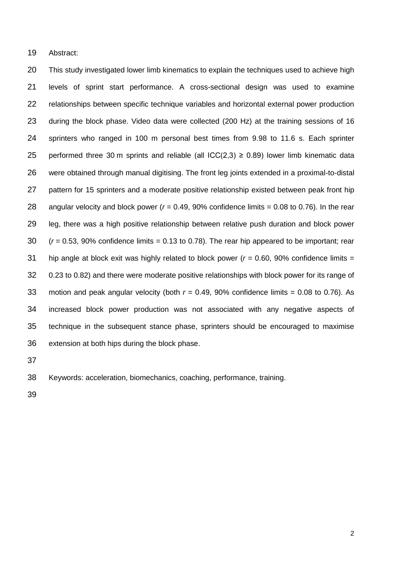Abstract:

 This study investigated lower limb kinematics to explain the techniques used to achieve high levels of sprint start performance. A cross-sectional design was used to examine relationships between specific technique variables and horizontal external power production during the block phase. Video data were collected (200 Hz) at the training sessions of 16 sprinters who ranged in 100 m personal best times from 9.98 to 11.6 s. Each sprinter 25 performed three 30 m sprints and reliable (all  $ICC(2,3) \ge 0.89$ ) lower limb kinematic data were obtained through manual digitising. The front leg joints extended in a proximal-to-distal 27 pattern for 15 sprinters and a moderate positive relationship existed between peak front hip 28 angular velocity and block power ( $r = 0.49$ , 90% confidence limits = 0.08 to 0.76). In the rear leg, there was a high positive relationship between relative push duration and block power (*r* = 0.53, 90% confidence limits = 0.13 to 0.78). The rear hip appeared to be important; rear hip angle at block exit was highly related to block power (*r* = 0.60, 90% confidence limits = 0.23 to 0.82) and there were moderate positive relationships with block power for its range of motion and peak angular velocity (both *r* = 0.49, 90% confidence limits = 0.08 to 0.76). As increased block power production was not associated with any negative aspects of technique in the subsequent stance phase, sprinters should be encouraged to maximise extension at both hips during the block phase.

Keywords: acceleration, biomechanics, coaching, performance, training.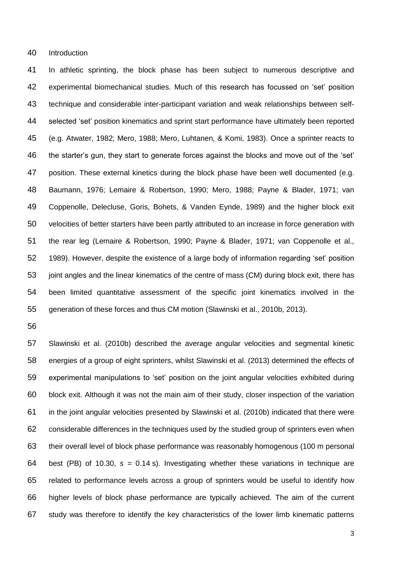Introduction

 In athletic sprinting, the block phase has been subject to numerous descriptive and experimental biomechanical studies. Much of this research has focussed on 'set' position technique and considerable inter-participant variation and weak relationships between self- selected 'set' position kinematics and sprint start performance have ultimately been reported (e.g. Atwater, 1982; Mero, 1988; Mero, Luhtanen, & Komi, 1983). Once a sprinter reacts to the starter's gun, they start to generate forces against the blocks and move out of the 'set' position. These external kinetics during the block phase have been well documented (e.g. Baumann, 1976; Lemaire & Robertson, 1990; Mero, 1988; Payne & Blader, 1971; van Coppenolle, Delecluse, Goris, Bohets, & Vanden Eynde, 1989) and the higher block exit velocities of better starters have been partly attributed to an increase in force generation with the rear leg (Lemaire & Robertson, 1990; Payne & Blader, 1971; van Coppenolle et al., 1989). However, despite the existence of a large body of information regarding 'set' position joint angles and the linear kinematics of the centre of mass (CM) during block exit, there has been limited quantitative assessment of the specific joint kinematics involved in the generation of these forces and thus CM motion (Slawinski et al., 2010b, 2013).

 Slawinski et al. (2010b) described the average angular velocities and segmental kinetic energies of a group of eight sprinters, whilst Slawinski et al. (2013) determined the effects of experimental manipulations to 'set' position on the joint angular velocities exhibited during block exit. Although it was not the main aim of their study, closer inspection of the variation in the joint angular velocities presented by Slawinski et al. (2010b) indicated that there were considerable differences in the techniques used by the studied group of sprinters even when their overall level of block phase performance was reasonably homogenous (100 m personal best (PB) of 10.30, *s* = 0.14 s). Investigating whether these variations in technique are related to performance levels across a group of sprinters would be useful to identify how higher levels of block phase performance are typically achieved. The aim of the current study was therefore to identify the key characteristics of the lower limb kinematic patterns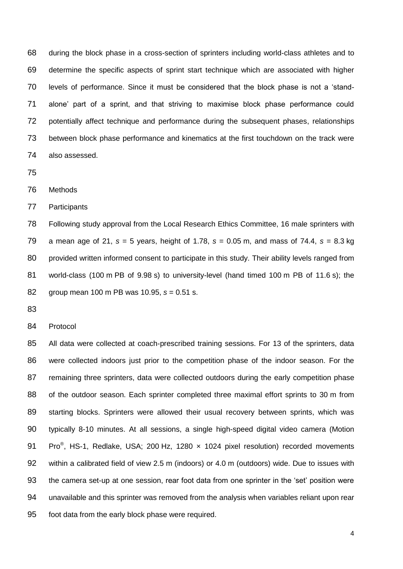during the block phase in a cross-section of sprinters including world-class athletes and to determine the specific aspects of sprint start technique which are associated with higher levels of performance. Since it must be considered that the block phase is not a 'stand- alone' part of a sprint, and that striving to maximise block phase performance could potentially affect technique and performance during the subsequent phases, relationships between block phase performance and kinematics at the first touchdown on the track were also assessed.

- 
- Methods

Participants

 Following study approval from the Local Research Ethics Committee, 16 male sprinters with a mean age of 21, *s* = 5 years, height of 1.78, *s* = 0.05 m, and mass of 74.4, *s* = 8.3 kg provided written informed consent to participate in this study. Their ability levels ranged from world-class (100 m PB of 9.98 s) to university-level (hand timed 100 m PB of 11.6 s); the group mean 100 m PB was 10.95, *s* = 0.51 s.

Protocol

 All data were collected at coach-prescribed training sessions. For 13 of the sprinters, data were collected indoors just prior to the competition phase of the indoor season. For the remaining three sprinters, data were collected outdoors during the early competition phase of the outdoor season. Each sprinter completed three maximal effort sprints to 30 m from starting blocks. Sprinters were allowed their usual recovery between sprints, which was typically 8-10 minutes. At all sessions, a single high-speed digital video camera (Motion 91 Pro<sup>®</sup>, HS-1, Redlake, USA; 200 Hz, 1280 x 1024 pixel resolution) recorded movements within a calibrated field of view 2.5 m (indoors) or 4.0 m (outdoors) wide. Due to issues with the camera set-up at one session, rear foot data from one sprinter in the 'set' position were unavailable and this sprinter was removed from the analysis when variables reliant upon rear foot data from the early block phase were required.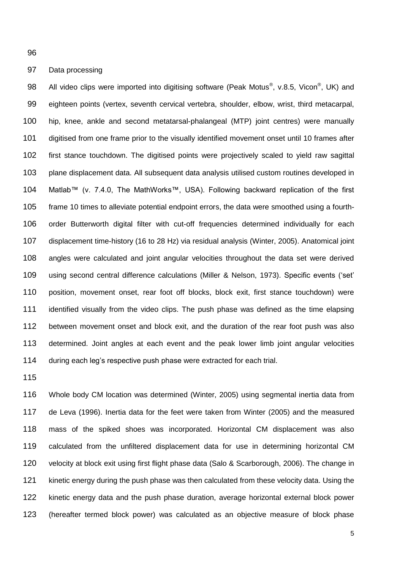#### Data processing

98 All video clips were imported into digitising software (Peak Motus®, v.8.5, Vicon®, UK) and eighteen points (vertex, seventh cervical vertebra, shoulder, elbow, wrist, third metacarpal, hip, knee, ankle and second metatarsal-phalangeal (MTP) joint centres) were manually digitised from one frame prior to the visually identified movement onset until 10 frames after first stance touchdown. The digitised points were projectively scaled to yield raw sagittal plane displacement data. All subsequent data analysis utilised custom routines developed in Matlab™ (v. 7.4.0, The MathWorks™, USA). Following backward replication of the first frame 10 times to alleviate potential endpoint errors, the data were smoothed using a fourth- order Butterworth digital filter with cut-off frequencies determined individually for each displacement time-history (16 to 28 Hz) via residual analysis (Winter, 2005). Anatomical joint angles were calculated and joint angular velocities throughout the data set were derived using second central difference calculations (Miller & Nelson, 1973). Specific events ('set' position, movement onset, rear foot off blocks, block exit, first stance touchdown) were 111 identified visually from the video clips. The push phase was defined as the time elapsing between movement onset and block exit, and the duration of the rear foot push was also determined. Joint angles at each event and the peak lower limb joint angular velocities during each leg's respective push phase were extracted for each trial.

 Whole body CM location was determined (Winter, 2005) using segmental inertia data from de Leva (1996). Inertia data for the feet were taken from Winter (2005) and the measured mass of the spiked shoes was incorporated. Horizontal CM displacement was also calculated from the unfiltered displacement data for use in determining horizontal CM velocity at block exit using first flight phase data (Salo & Scarborough, 2006). The change in kinetic energy during the push phase was then calculated from these velocity data. Using the kinetic energy data and the push phase duration, average horizontal external block power (hereafter termed block power) was calculated as an objective measure of block phase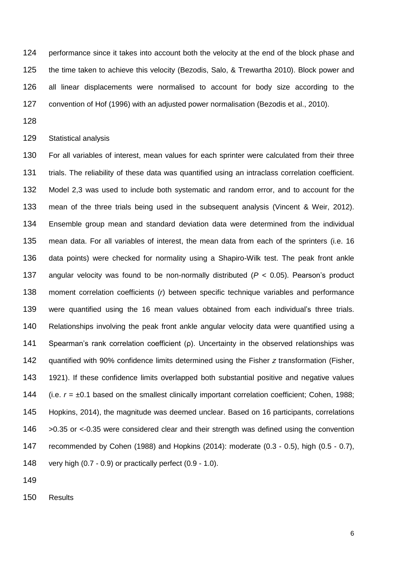performance since it takes into account both the velocity at the end of the block phase and the time taken to achieve this velocity (Bezodis, Salo, & Trewartha 2010). Block power and all linear displacements were normalised to account for body size according to the convention of Hof (1996) with an adjusted power normalisation (Bezodis et al., 2010).

Statistical analysis

 For all variables of interest, mean values for each sprinter were calculated from their three trials. The reliability of these data was quantified using an intraclass correlation coefficient. Model 2,3 was used to include both systematic and random error, and to account for the mean of the three trials being used in the subsequent analysis (Vincent & Weir, 2012). Ensemble group mean and standard deviation data were determined from the individual mean data. For all variables of interest, the mean data from each of the sprinters (i.e. 16 data points) were checked for normality using a Shapiro-Wilk test. The peak front ankle angular velocity was found to be non-normally distributed (*P* < 0.05). Pearson's product moment correlation coefficients (*r*) between specific technique variables and performance were quantified using the 16 mean values obtained from each individual's three trials. Relationships involving the peak front ankle angular velocity data were quantified using a Spearman's rank correlation coefficient (ρ). Uncertainty in the observed relationships was quantified with 90% confidence limits determined using the Fisher *z* transformation (Fisher, 1921). If these confidence limits overlapped both substantial positive and negative values 144 (i.e.  $r = \pm 0.1$  based on the smallest clinically important correlation coefficient; Cohen, 1988; Hopkins, 2014), the magnitude was deemed unclear. Based on 16 participants, correlations >0.35 or <-0.35 were considered clear and their strength was defined using the convention recommended by Cohen (1988) and Hopkins (2014): moderate (0.3 - 0.5), high (0.5 - 0.7), very high (0.7 - 0.9) or practically perfect (0.9 - 1.0).

Results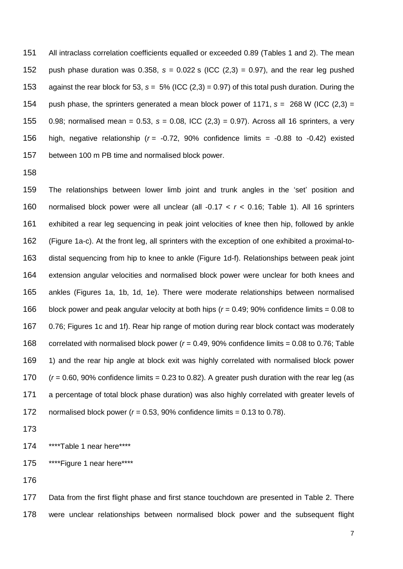All intraclass correlation coefficients equalled or exceeded 0.89 (Tables 1 and 2). The mean 152 push phase duration was  $0.358$ ,  $s = 0.022$  s (ICC  $(2,3) = 0.97$ ), and the rear leg pushed against the rear block for 53, *s* = 5% (ICC (2,3) = 0.97) of this total push duration. During the 154 push phase, the sprinters generated a mean block power of 1171,  $s = 268$  W (ICC (2,3) = 0.98; normalised mean = 0.53, *s* = 0.08, ICC (2,3) = 0.97). Across all 16 sprinters, a very 156 high, negative relationship  $(r = -0.72, 90\%$  confidence limits  $= -0.88$  to  $-0.42$ ) existed between 100 m PB time and normalised block power.

 The relationships between lower limb joint and trunk angles in the 'set' position and normalised block power were all unclear (all -0.17 < *r* < 0.16; Table 1). All 16 sprinters exhibited a rear leg sequencing in peak joint velocities of knee then hip, followed by ankle (Figure 1a-c). At the front leg, all sprinters with the exception of one exhibited a proximal-to- distal sequencing from hip to knee to ankle (Figure 1d-f). Relationships between peak joint extension angular velocities and normalised block power were unclear for both knees and ankles (Figures 1a, 1b, 1d, 1e). There were moderate relationships between normalised block power and peak angular velocity at both hips (*r* = 0.49; 90% confidence limits = 0.08 to 0.76; Figures 1c and 1f). Rear hip range of motion during rear block contact was moderately correlated with normalised block power (*r* = 0.49, 90% confidence limits = 0.08 to 0.76; Table 1) and the rear hip angle at block exit was highly correlated with normalised block power  $(r = 0.60, 90\%$  confidence limits  $= 0.23$  to 0.82). A greater push duration with the rear leg (as a percentage of total block phase duration) was also highly correlated with greater levels of 172 normalised block power ( $r = 0.53$ , 90% confidence limits = 0.13 to 0.78).

\*\*\*\*Table 1 near here\*\*\*\*

\*\*\*\*Figure 1 near here\*\*\*\*

 Data from the first flight phase and first stance touchdown are presented in Table 2. There were unclear relationships between normalised block power and the subsequent flight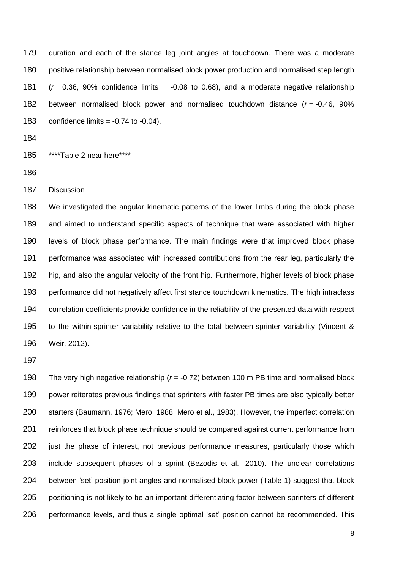duration and each of the stance leg joint angles at touchdown. There was a moderate positive relationship between normalised block power production and normalised step length  $(r = 0.36, 90\%$  confidence limits  $= -0.08$  to 0.68), and a moderate negative relationship between normalised block power and normalised touchdown distance (*r* = -0.46, 90% 183 confidence limits  $= -0.74$  to  $-0.04$ ).

\*\*\*\*Table 2 near here\*\*\*\*

Discussion

 We investigated the angular kinematic patterns of the lower limbs during the block phase and aimed to understand specific aspects of technique that were associated with higher levels of block phase performance. The main findings were that improved block phase performance was associated with increased contributions from the rear leg, particularly the hip, and also the angular velocity of the front hip. Furthermore, higher levels of block phase performance did not negatively affect first stance touchdown kinematics. The high intraclass correlation coefficients provide confidence in the reliability of the presented data with respect to the within-sprinter variability relative to the total between-sprinter variability (Vincent & Weir, 2012).

 The very high negative relationship (*r* = -0.72) between 100 m PB time and normalised block power reiterates previous findings that sprinters with faster PB times are also typically better starters (Baumann, 1976; Mero, 1988; Mero et al., 1983). However, the imperfect correlation reinforces that block phase technique should be compared against current performance from just the phase of interest, not previous performance measures, particularly those which include subsequent phases of a sprint (Bezodis et al., 2010). The unclear correlations between 'set' position joint angles and normalised block power (Table 1) suggest that block positioning is not likely to be an important differentiating factor between sprinters of different performance levels, and thus a single optimal 'set' position cannot be recommended. This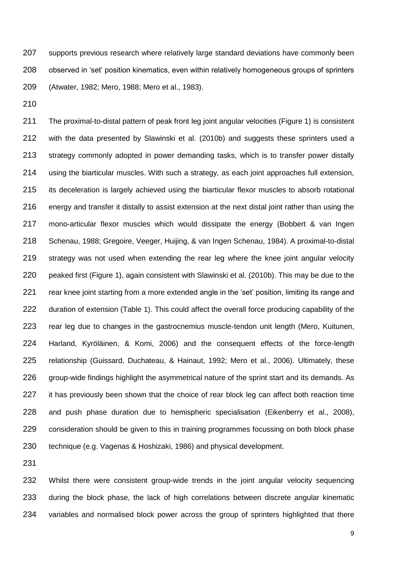207 supports previous research where relatively large standard deviations have commonly been observed in 'set' position kinematics, even within relatively homogeneous groups of sprinters (Atwater, 1982; Mero, 1988; Mero et al., 1983).

 The proximal-to-distal pattern of peak front leg joint angular velocities (Figure 1) is consistent 212 with the data presented by Slawinski et al. (2010b) and suggests these sprinters used a strategy commonly adopted in power demanding tasks, which is to transfer power distally using the biarticular muscles. With such a strategy, as each joint approaches full extension, its deceleration is largely achieved using the biarticular flexor muscles to absorb rotational energy and transfer it distally to assist extension at the next distal joint rather than using the mono-articular flexor muscles which would dissipate the energy (Bobbert & van Ingen Schenau, 1988; Gregoire, Veeger, Huijing, & van Ingen Schenau, 1984). A proximal-to-distal strategy was not used when extending the rear leg where the knee joint angular velocity peaked first (Figure 1), again consistent with Slawinski et al. (2010b). This may be due to the 221 rear knee joint starting from a more extended angle in the 'set' position, limiting its range and 222 duration of extension (Table 1). This could affect the overall force producing capability of the rear leg due to changes in the gastrocnemius muscle-tendon unit length (Mero, Kuitunen, Harland, Kyröläinen, & Komi, 2006) and the consequent effects of the force-length relationship (Guissard, Duchateau, & Hainaut, 1992; Mero et al., 2006). Ultimately, these 226 group-wide findings highlight the asymmetrical nature of the sprint start and its demands. As 227 it has previously been shown that the choice of rear block leg can affect both reaction time and push phase duration due to hemispheric specialisation (Eikenberry et al., 2008), consideration should be given to this in training programmes focussing on both block phase technique (e.g. Vagenas & Hoshizaki, 1986) and physical development.

 Whilst there were consistent group-wide trends in the joint angular velocity sequencing during the block phase, the lack of high correlations between discrete angular kinematic 234 variables and normalised block power across the group of sprinters highlighted that there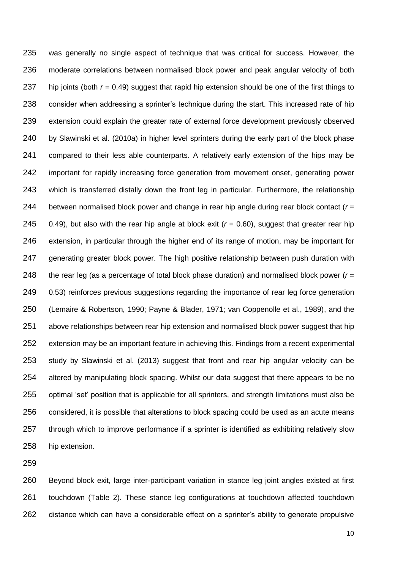was generally no single aspect of technique that was critical for success. However, the moderate correlations between normalised block power and peak angular velocity of both hip joints (both *r* = 0.49) suggest that rapid hip extension should be one of the first things to consider when addressing a sprinter's technique during the start. This increased rate of hip extension could explain the greater rate of external force development previously observed 240 by Slawinski et al. (2010a) in higher level sprinters during the early part of the block phase compared to their less able counterparts. A relatively early extension of the hips may be important for rapidly increasing force generation from movement onset, generating power which is transferred distally down the front leg in particular. Furthermore, the relationship between normalised block power and change in rear hip angle during rear block contact (*r* = 245 0.49), but also with the rear hip angle at block exit  $(r = 0.60)$ , suggest that greater rear hip extension, in particular through the higher end of its range of motion, may be important for 247 generating greater block power. The high positive relationship between push duration with 248 the rear leg (as a percentage of total block phase duration) and normalised block power  $(r =$  0.53) reinforces previous suggestions regarding the importance of rear leg force generation (Lemaire & Robertson, 1990; Payne & Blader, 1971; van Coppenolle et al., 1989), and the above relationships between rear hip extension and normalised block power suggest that hip extension may be an important feature in achieving this. Findings from a recent experimental study by Slawinski et al. (2013) suggest that front and rear hip angular velocity can be altered by manipulating block spacing. Whilst our data suggest that there appears to be no optimal 'set' position that is applicable for all sprinters, and strength limitations must also be considered, it is possible that alterations to block spacing could be used as an acute means 257 through which to improve performance if a sprinter is identified as exhibiting relatively slow hip extension.

 Beyond block exit, large inter-participant variation in stance leg joint angles existed at first touchdown (Table 2). These stance leg configurations at touchdown affected touchdown distance which can have a considerable effect on a sprinter's ability to generate propulsive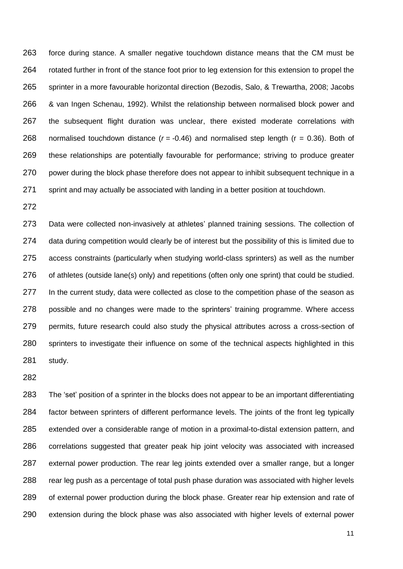force during stance. A smaller negative touchdown distance means that the CM must be rotated further in front of the stance foot prior to leg extension for this extension to propel the sprinter in a more favourable horizontal direction (Bezodis, Salo, & Trewartha, 2008; Jacobs & van Ingen Schenau, 1992). Whilst the relationship between normalised block power and the subsequent flight duration was unclear, there existed moderate correlations with normalised touchdown distance (*r* = -0.46) and normalised step length (r = 0.36). Both of these relationships are potentially favourable for performance; striving to produce greater 270 power during the block phase therefore does not appear to inhibit subsequent technique in a sprint and may actually be associated with landing in a better position at touchdown.

 Data were collected non-invasively at athletes' planned training sessions. The collection of 274 data during competition would clearly be of interest but the possibility of this is limited due to access constraints (particularly when studying world-class sprinters) as well as the number 276 of athletes (outside lane(s) only) and repetitions (often only one sprint) that could be studied. 277 In the current study, data were collected as close to the competition phase of the season as possible and no changes were made to the sprinters' training programme. Where access permits, future research could also study the physical attributes across a cross-section of sprinters to investigate their influence on some of the technical aspects highlighted in this study.

 The 'set' position of a sprinter in the blocks does not appear to be an important differentiating factor between sprinters of different performance levels. The joints of the front leg typically extended over a considerable range of motion in a proximal-to-distal extension pattern, and correlations suggested that greater peak hip joint velocity was associated with increased external power production. The rear leg joints extended over a smaller range, but a longer rear leg push as a percentage of total push phase duration was associated with higher levels of external power production during the block phase. Greater rear hip extension and rate of extension during the block phase was also associated with higher levels of external power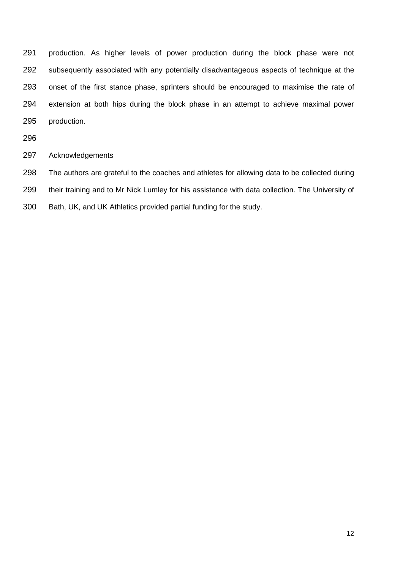production. As higher levels of power production during the block phase were not subsequently associated with any potentially disadvantageous aspects of technique at the onset of the first stance phase, sprinters should be encouraged to maximise the rate of extension at both hips during the block phase in an attempt to achieve maximal power production.

Acknowledgements

The authors are grateful to the coaches and athletes for allowing data to be collected during

their training and to Mr Nick Lumley for his assistance with data collection. The University of

Bath, UK, and UK Athletics provided partial funding for the study.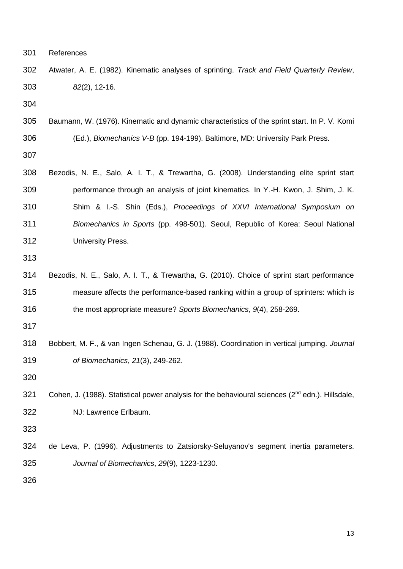References

 Atwater, A. E. (1982). Kinematic analyses of sprinting. *Track and Field Quarterly Review*, *82*(2), 12-16.

- Baumann, W. (1976). Kinematic and dynamic characteristics of the sprint start. In P. V. Komi (Ed.), *Biomechanics V-B* (pp. 194-199). Baltimore, MD: University Park Press.
- 
- Bezodis, N. E., Salo, A. I. T., & Trewartha, G. (2008). Understanding elite sprint start performance through an analysis of joint kinematics. In Y.-H. Kwon, J. Shim, J. K. Shim & I.-S. Shin (Eds.), *Proceedings of XXVI International Symposium on Biomechanics in Sports* (pp. 498-501)*.* Seoul, Republic of Korea: Seoul National University Press.
- 
- Bezodis, N. E., Salo, A. I. T., & Trewartha, G. (2010). Choice of sprint start performance measure affects the performance-based ranking within a group of sprinters: which is the most appropriate measure? *Sports Biomechanics*, *9*(4), 258-269.
- 
- Bobbert, M. F., & van Ingen Schenau, G. J. (1988). Coordination in vertical jumping. *Journal of Biomechanics*, *21*(3), 249-262.

321 Cohen, J. (1988). Statistical power analysis for the behavioural sciences ( $2^{nd}$  edn.). Hillsdale, NJ: Lawrence Erlbaum.

 de Leva, P. (1996). Adjustments to Zatsiorsky-Seluyanov's segment inertia parameters. *Journal of Biomechanics*, *29*(9), 1223-1230.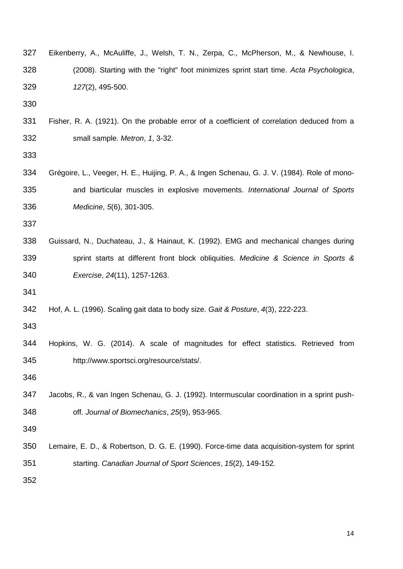| 327 | Eikenberry, A., McAuliffe, J., Welsh, T. N., Zerpa, C., McPherson, M., & Newhouse, I.        |
|-----|----------------------------------------------------------------------------------------------|
| 328 | (2008). Starting with the "right" foot minimizes sprint start time. Acta Psychologica,       |
| 329 | 127(2), 495-500.                                                                             |
| 330 |                                                                                              |
| 331 | Fisher, R. A. (1921). On the probable error of a coefficient of correlation deduced from a   |
| 332 | small sample. Metron, 1, 3-32.                                                               |
| 333 |                                                                                              |
| 334 | Grégoire, L., Veeger, H. E., Huijing, P. A., & Ingen Schenau, G. J. V. (1984). Role of mono- |
| 335 | and biarticular muscles in explosive movements. International Journal of Sports              |
| 336 | Medicine, 5(6), 301-305.                                                                     |
| 337 |                                                                                              |
| 338 | Guissard, N., Duchateau, J., & Hainaut, K. (1992). EMG and mechanical changes during         |
| 339 | sprint starts at different front block obliquities. Medicine & Science in Sports &           |
| 340 | Exercise, 24(11), 1257-1263.                                                                 |
| 341 |                                                                                              |
| 342 | Hof, A. L. (1996). Scaling gait data to body size. Gait & Posture, 4(3), 222-223.            |
| 343 |                                                                                              |
| 344 | Hopkins, W. G. (2014). A scale of magnitudes for effect statistics. Retrieved from           |
| 345 | http://www.sportsci.org/resource/stats/.                                                     |
| 346 |                                                                                              |
| 347 | Jacobs, R., & van Ingen Schenau, G. J. (1992). Intermuscular coordination in a sprint push-  |
| 348 | off. Journal of Biomechanics, 25(9), 953-965.                                                |
| 349 |                                                                                              |
| 350 | Lemaire, E. D., & Robertson, D. G. E. (1990). Force-time data acquisition-system for sprint  |
| 351 | starting. Canadian Journal of Sport Sciences, 15(2), 149-152.                                |
| 352 |                                                                                              |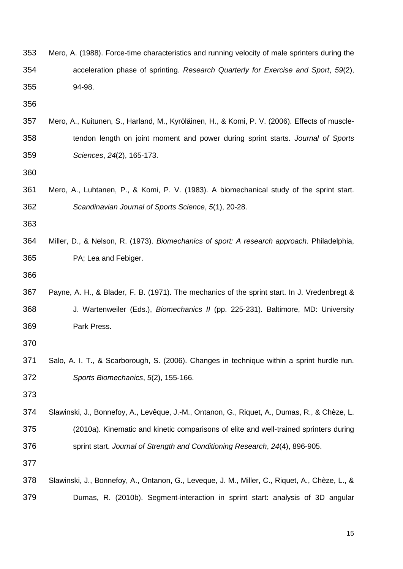| 353 | Mero, A. (1988). Force-time characteristics and running velocity of male sprinters during the  |
|-----|------------------------------------------------------------------------------------------------|
| 354 | acceleration phase of sprinting. Research Quarterly for Exercise and Sport, 59(2),             |
| 355 | 94-98.                                                                                         |
| 356 |                                                                                                |
| 357 | Mero, A., Kuitunen, S., Harland, M., Kyröläinen, H., & Komi, P. V. (2006). Effects of muscle-  |
| 358 | tendon length on joint moment and power during sprint starts. Journal of Sports                |
| 359 | Sciences, 24(2), 165-173.                                                                      |
| 360 |                                                                                                |
| 361 | Mero, A., Luhtanen, P., & Komi, P. V. (1983). A biomechanical study of the sprint start.       |
| 362 | Scandinavian Journal of Sports Science, 5(1), 20-28.                                           |
| 363 |                                                                                                |
| 364 | Miller, D., & Nelson, R. (1973). Biomechanics of sport: A research approach. Philadelphia,     |
| 365 | PA; Lea and Febiger.                                                                           |
| 366 |                                                                                                |
| 367 | Payne, A. H., & Blader, F. B. (1971). The mechanics of the sprint start. In J. Vredenbregt &   |
| 368 | J. Wartenweiler (Eds.), Biomechanics II (pp. 225-231). Baltimore, MD: University               |
| 369 | Park Press.                                                                                    |
| 370 |                                                                                                |
| 371 | Salo, A. I. T., & Scarborough, S. (2006). Changes in technique within a sprint hurdle run.     |
| 372 | Sports Biomechanics, 5(2), 155-166.                                                            |
| 373 |                                                                                                |
| 374 | Slawinski, J., Bonnefoy, A., Levêque, J.-M., Ontanon, G., Riquet, A., Dumas, R., & Chèze, L.   |
| 375 | (2010a). Kinematic and kinetic comparisons of elite and well-trained sprinters during          |
| 376 | sprint start. Journal of Strength and Conditioning Research, 24(4), 896-905.                   |
| 377 |                                                                                                |
| 378 | Slawinski, J., Bonnefoy, A., Ontanon, G., Leveque, J. M., Miller, C., Riquet, A., Chèze, L., & |
| 379 | Dumas, R. (2010b). Segment-interaction in sprint start: analysis of 3D angular                 |
|     |                                                                                                |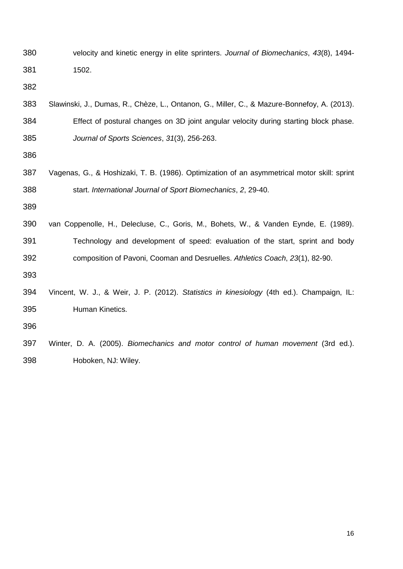| 380 | velocity and kinetic energy in elite sprinters. Journal of Biomechanics, 43(8), 1494-       |  |  |  |  |
|-----|---------------------------------------------------------------------------------------------|--|--|--|--|
| 381 | 1502.                                                                                       |  |  |  |  |
| 382 |                                                                                             |  |  |  |  |
| 383 | Slawinski, J., Dumas, R., Chèze, L., Ontanon, G., Miller, C., & Mazure-Bonnefoy, A. (2013). |  |  |  |  |
| 384 | Effect of postural changes on 3D joint angular velocity during starting block phase.        |  |  |  |  |
| 385 | Journal of Sports Sciences, 31(3), 256-263.                                                 |  |  |  |  |
| 386 |                                                                                             |  |  |  |  |
| 387 | Vagenas, G., & Hoshizaki, T. B. (1986). Optimization of an asymmetrical motor skill: sprint |  |  |  |  |
| 388 | start. International Journal of Sport Biomechanics, 2, 29-40.                               |  |  |  |  |
| 389 |                                                                                             |  |  |  |  |
| 390 | van Coppenolle, H., Delecluse, C., Goris, M., Bohets, W., & Vanden Eynde, E. (1989).        |  |  |  |  |
| 391 | Technology and development of speed: evaluation of the start, sprint and body               |  |  |  |  |
| 392 | composition of Pavoni, Cooman and Desruelles. Athletics Coach, 23(1), 82-90.                |  |  |  |  |
| 393 |                                                                                             |  |  |  |  |
| 394 | Vincent, W. J., & Weir, J. P. (2012). Statistics in kinesiology (4th ed.). Champaign, IL:   |  |  |  |  |
| 395 | Human Kinetics.                                                                             |  |  |  |  |
| 396 |                                                                                             |  |  |  |  |
| 397 | Winter, D. A. (2005). Biomechanics and motor control of human movement (3rd ed.).           |  |  |  |  |

Hoboken, NJ: Wiley.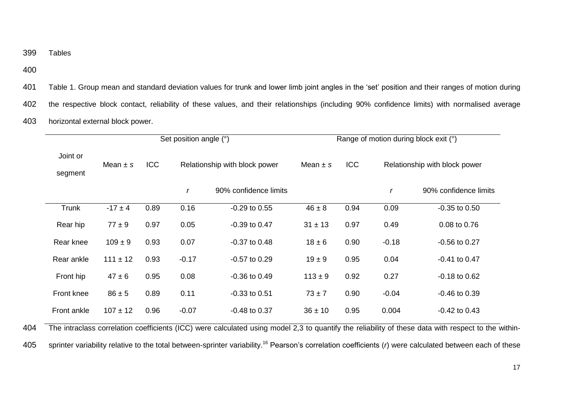## 399 Tables

400

401 Table 1. Group mean and standard deviation values for trunk and lower limb joint angles in the 'set' position and their ranges of motion during 402 the respective block contact, reliability of these values, and their relationships (including 90% confidence limits) with normalised average 403 horizontal external block power.

|                     | Set position angle (°) |            |                               |                       | Range of motion during block exit (°) |      |         |                               |
|---------------------|------------------------|------------|-------------------------------|-----------------------|---------------------------------------|------|---------|-------------------------------|
| Joint or<br>segment | Mean $\pm$ s           | <b>ICC</b> | Relationship with block power |                       | Mean $\pm$ s                          | ICC  |         | Relationship with block power |
|                     |                        |            |                               | 90% confidence limits |                                       |      |         | 90% confidence limits         |
| Trunk               | $-17 \pm 4$            | 0.89       | 0.16                          | $-0.29$ to $0.55$     | $46 \pm 8$                            | 0.94 | 0.09    | $-0.35$ to $0.50$             |
| Rear hip            | $77 \pm 9$             | 0.97       | 0.05                          | $-0.39$ to $0.47$     | $31 \pm 13$                           | 0.97 | 0.49    | 0.08 to 0.76                  |
| Rear knee           | $109 \pm 9$            | 0.93       | 0.07                          | $-0.37$ to $0.48$     | $18 \pm 6$                            | 0.90 | $-0.18$ | -0.56 to 0.27                 |
| Rear ankle          | $111 \pm 12$           | 0.93       | $-0.17$                       | $-0.57$ to $0.29$     | $19 \pm 9$                            | 0.95 | 0.04    | $-0.41$ to $0.47$             |
| Front hip           | $47 \pm 6$             | 0.95       | 0.08                          | $-0.36$ to $0.49$     | $113 \pm 9$                           | 0.92 | 0.27    | $-0.18$ to $0.62$             |
| Front knee          | $86 \pm 5$             | 0.89       | 0.11                          | $-0.33$ to $0.51$     | $73 \pm 7$                            | 0.90 | $-0.04$ | $-0.46$ to $0.39$             |
| <b>Front ankle</b>  | $107 \pm 12$           | 0.96       | $-0.07$                       | $-0.48$ to 0.37       | $36 \pm 10$                           | 0.95 | 0.004   | $-0.42$ to $0.43$             |

404 The intraclass correlation coefficients (ICC) were calculated using model 2,3 to quantify the reliability of these data with respect to the within-

405 sprinter variability relative to the total between-sprinter variability.<sup>16</sup> Pearson's correlation coefficients (*r*) were calculated between each of these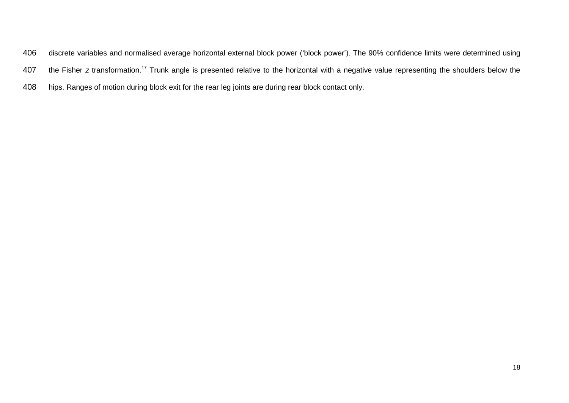discrete variables and normalised average horizontal external block power ('block power'). The 90% confidence limits were determined using 407 the Fisher z transformation.<sup>17</sup> Trunk angle is presented relative to the horizontal with a negative value representing the shoulders below the hips. Ranges of motion during block exit for the rear leg joints are during rear block contact only.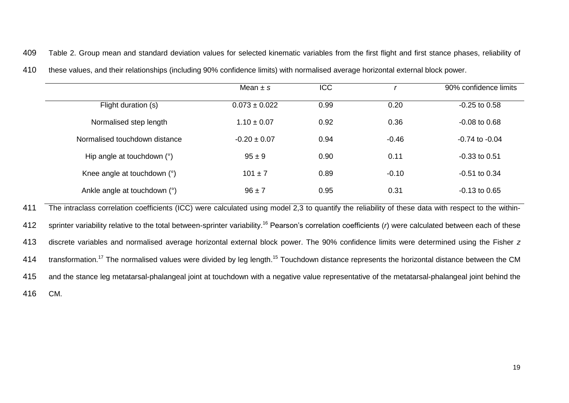409 Table 2. Group mean and standard deviation values for selected kinematic variables from the first flight and first stance phases, reliability of

|                               | Mean $\pm$ s      | <b>ICC</b> |         | 90% confidence limits |
|-------------------------------|-------------------|------------|---------|-----------------------|
| Flight duration (s)           | $0.073 \pm 0.022$ | 0.99       | 0.20    | $-0.25$ to $0.58$     |
| Normalised step length        | $1.10 \pm 0.07$   | 0.92       | 0.36    | $-0.08$ to $0.68$     |
| Normalised touchdown distance | $-0.20 \pm 0.07$  | 0.94       | $-0.46$ | $-0.74$ to $-0.04$    |
| Hip angle at touchdown $(°)$  | $95 \pm 9$        | 0.90       | 0.11    | $-0.33$ to $0.51$     |
| Knee angle at touchdown (°)   | $101 \pm 7$       | 0.89       | $-0.10$ | $-0.51$ to $0.34$     |
| Ankle angle at touchdown (°)  | $96 \pm 7$        | 0.95       | 0.31    | $-0.13$ to 0.65       |

410 these values, and their relationships (including 90% confidence limits) with normalised average horizontal external block power.

411 The intraclass correlation coefficients (ICC) were calculated using model 2,3 to quantify the reliability of these data with respect to the within-412 sprinter variability relative to the total between-sprinter variability.<sup>16</sup> Pearson's correlation coefficients (*r*) were calculated between each of these 413 discrete variables and normalised average horizontal external block power. The 90% confidence limits were determined using the Fisher *z* 414 transformation.<sup>17</sup> The normalised values were divided by leg length.<sup>15</sup> Touchdown distance represents the horizontal distance between the CM 415 and the stance leg metatarsal-phalangeal joint at touchdown with a negative value representative of the metatarsal-phalangeal joint behind the 416 CM.